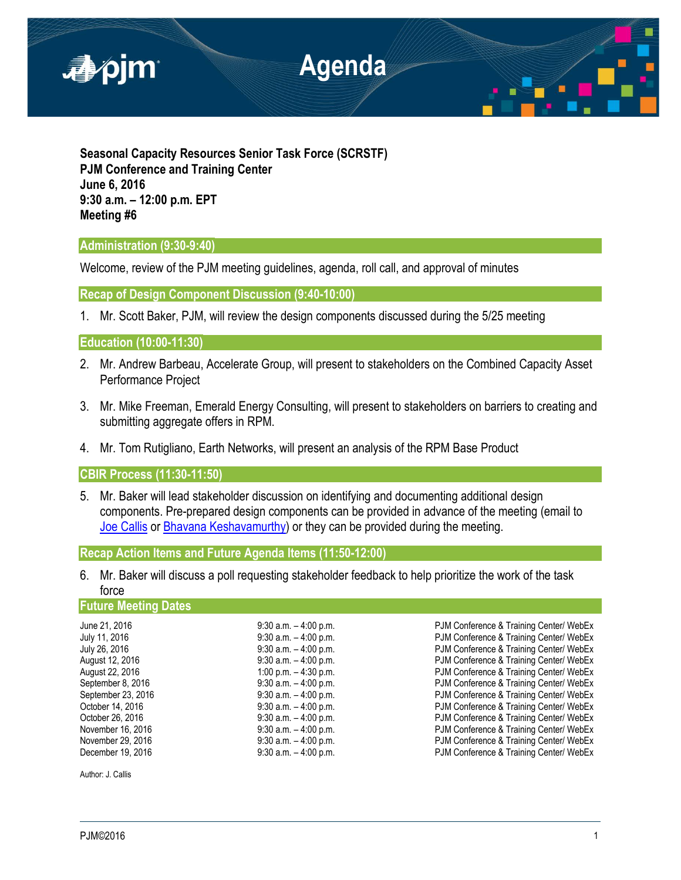

**Seasonal Capacity Resources Senior Task Force (SCRSTF) PJM Conference and Training Center June 6, 2016 9:30 a.m. – 12:00 p.m. EPT Meeting #6**

# **Administration (9:30-9:40)**

Welcome, review of the PJM meeting guidelines, agenda, roll call, and approval of minutes

**Recap of Design Component Discussion (9:40-10:00)**

1. Mr. Scott Baker, PJM, will review the design components discussed during the 5/25 meeting

### **Education (10:00-11:30)**

- 2. Mr. Andrew Barbeau, Accelerate Group, will present to stakeholders on the Combined Capacity Asset Performance Project
- 3. Mr. Mike Freeman, Emerald Energy Consulting, will present to stakeholders on barriers to creating and submitting aggregate offers in RPM.
- 4. Mr. Tom Rutigliano, Earth Networks, will present an analysis of the RPM Base Product

**CBIR Process (11:30-11:50)**

5. Mr. Baker will lead stakeholder discussion on identifying and documenting additional design components. Pre-prepared design components can be provided in advance of the meeting (email to [Joe Callis](mailto:joseph.callis@pjm.com?subject=SCRSTF%20Design%20Components) or [Bhavana Keshavamurthy\)](mailto:bhavana.murthy@pjm.com?subject=SCRSTF%20Design%20Components) or they can be provided during the meeting.

**Recap Action Items and Future Agenda Items (11:50-12:00)**

6. Mr. Baker will discuss a poll requesting stakeholder feedback to help prioritize the work of the task force

## **Future Meeting Dates**

Author: J. Callis